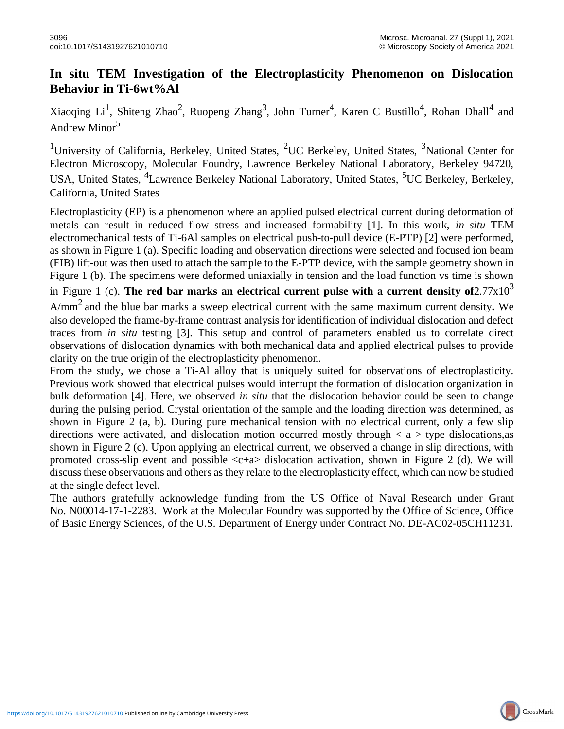## **In situ TEM Investigation of the Electroplasticity Phenomenon on Dislocation Behavior in Ti-6wt%Al**

Xiaoqing Li<sup>1</sup>, Shiteng Zhao<sup>2</sup>, Ruopeng Zhang<sup>3</sup>, John Turner<sup>4</sup>, Karen C Bustillo<sup>4</sup>, Rohan Dhall<sup>4</sup> and Andrew Minor<sup>5</sup>

<sup>1</sup>University of California, Berkeley, United States, <sup>2</sup>UC Berkeley, United States, <sup>3</sup>National Center for Electron Microscopy, Molecular Foundry, Lawrence Berkeley National Laboratory, Berkeley 94720, USA, United States, <sup>4</sup>Lawrence Berkeley National Laboratory, United States, <sup>5</sup>UC Berkeley, Berkeley, California, United States

Electroplasticity (EP) is a phenomenon where an applied pulsed electrical current during deformation of metals can result in reduced flow stress and increased formability [1]. In this work, *in situ* TEM electromechanical tests of Ti-6Al samples on electrical push-to-pull device (E-PTP) [2] were performed, as shown in Figure 1 (a). Specific loading and observation directions were selected and focused ion beam (FIB) lift-out was then used to attach the sample to the E-PTP device, with the sample geometry shown in Figure 1 (b). The specimens were deformed uniaxially in tension and the load function vs time is shown in Figure 1 (c). **The red bar marks an electrical current pulse with a current density of** $2.77 \times 10^3$ A/mm<sup>2</sup> and the blue bar marks a sweep electrical current with the same maximum current density*.* We also developed the frame-by-frame contrast analysis for identification of individual dislocation and defect traces from *in situ* testing [3]. This setup and control of parameters enabled us to correlate direct observations of dislocation dynamics with both mechanical data and applied electrical pulses to provide clarity on the true origin of the electroplasticity phenomenon.

From the study, we chose a Ti-Al alloy that is uniquely suited for observations of electroplasticity. Previous work showed that electrical pulses would interrupt the formation of dislocation organization in bulk deformation [4]. Here, we observed *in situ* that the dislocation behavior could be seen to change during the pulsing period. Crystal orientation of the sample and the loading direction was determined, as shown in Figure 2 (a, b). During pure mechanical tension with no electrical current, only a few slip directions were activated, and dislocation motion occurred mostly through  $\langle a \rangle$  type dislocations, as shown in Figure 2 (c). Upon applying an electrical current, we observed a change in slip directions, with promoted cross-slip event and possible  $\langle c+a \rangle$  dislocation activation, shown in Figure 2 (d). We will discuss these observations and others as they relate to the electroplasticity effect, which can now be studied at the single defect level.

The authors gratefully acknowledge funding from the US Office of Naval Research under Grant No. N00014-17-1-2283. Work at the Molecular Foundry was supported by the Office of Science, Office of Basic Energy Sciences, of the U.S. Department of Energy under Contract No. DE-AC02-05CH11231.